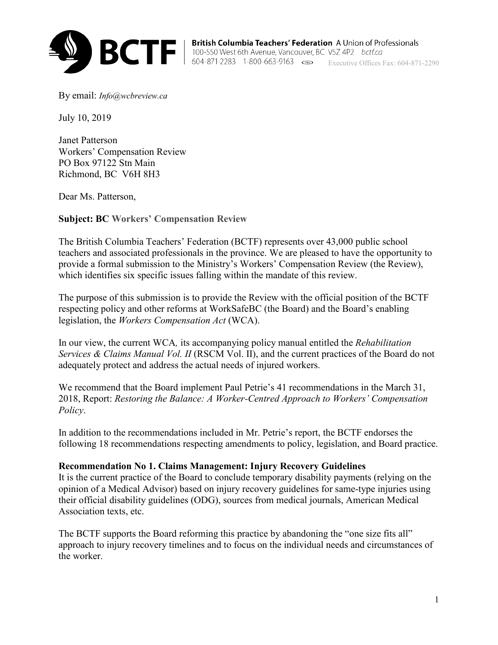

**Executive Offices Fax: 604-871-2283** 1-800-663-9163 **Company of Secutive Offices Fax: 604-871-2290** 

By email: *[Info@wcbreview.ca](mailto:Info@wcbreview.ca)*

July 10, 2019

Janet Patterson Workers' Compensation Review PO Box 97122 Stn Main Richmond, BC V6H 8H3

Dear Ms. Patterson,

**Subject: BC Workers' Compensation Review** 

The British Columbia Teachers' Federation (BCTF) represents over 43,000 public school teachers and associated professionals in the province. We are pleased to have the opportunity to provide a formal submission to the Ministry's Workers' Compensation Review (the Review), which identifies six specific issues falling within the mandate of this review.

The purpose of this submission is to provide the Review with the official position of the BCTF respecting policy and other reforms at WorkSafeBC (the Board) and the Board's enabling legislation, the *Workers Compensation Act* (WCA).

In our view, the current WCA*,* its accompanying policy manual entitled the *Rehabilitation Services & Claims Manual Vol. II* (RSCM Vol. II), and the current practices of the Board do not adequately protect and address the actual needs of injured workers.

We recommend that the Board implement Paul Petrie's 41 recommendations in the March 31, 2018, Report: *Restoring the Balance: A Worker-Centred Approach to Workers' Compensation Policy*.

In addition to the recommendations included in Mr. Petrie's report, the BCTF endorses the following 18 recommendations respecting amendments to policy, legislation, and Board practice.

### **Recommendation No 1. Claims Management: Injury Recovery Guidelines**

It is the current practice of the Board to conclude temporary disability payments (relying on the opinion of a Medical Advisor) based on injury recovery guidelines for same-type injuries using their official disability guidelines (ODG), sources from medical journals, American Medical Association texts, etc.

The BCTF supports the Board reforming this practice by abandoning the "one size fits all" approach to injury recovery timelines and to focus on the individual needs and circumstances of the worker.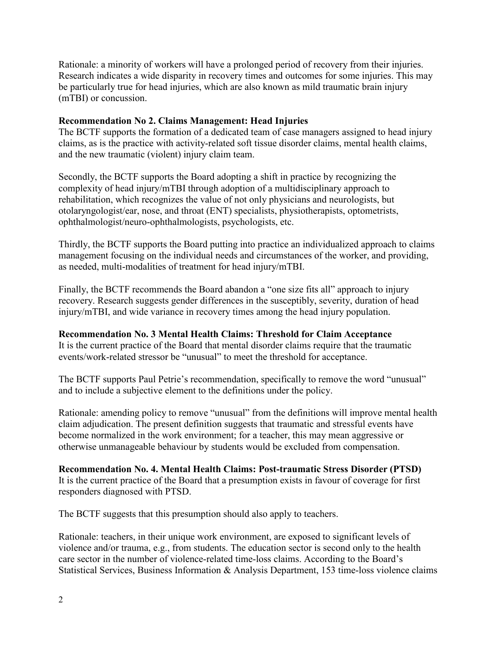Rationale: a minority of workers will have a prolonged period of recovery from their injuries. Research indicates a wide disparity in recovery times and outcomes for some injuries. This may be particularly true for head injuries, which are also known as mild traumatic brain injury (mTBI) or concussion.

## **Recommendation No 2. Claims Management: Head Injuries**

The BCTF supports the formation of a dedicated team of case managers assigned to head injury claims, as is the practice with activity-related soft tissue disorder claims, mental health claims, and the new traumatic (violent) injury claim team.

Secondly, the BCTF supports the Board adopting a shift in practice by recognizing the complexity of head injury/mTBI through adoption of a multidisciplinary approach to rehabilitation, which recognizes the value of not only physicians and neurologists, but otolaryngologist/ear, nose, and throat (ENT) specialists, physiotherapists, optometrists, ophthalmologist/neuro-ophthalmologists, psychologists, etc.

Thirdly, the BCTF supports the Board putting into practice an individualized approach to claims management focusing on the individual needs and circumstances of the worker, and providing, as needed, multi-modalities of treatment for head injury/mTBI.

Finally, the BCTF recommends the Board abandon a "one size fits all" approach to injury recovery. Research suggests gender differences in the susceptibly, severity, duration of head injury/mTBI, and wide variance in recovery times among the head injury population.

# **Recommendation No. 3 Mental Health Claims: Threshold for Claim Acceptance**

It is the current practice of the Board that mental disorder claims require that the traumatic events/work-related stressor be "unusual" to meet the threshold for acceptance.

The BCTF supports Paul Petrie's recommendation, specifically to remove the word "unusual" and to include a subjective element to the definitions under the policy.

Rationale: amending policy to remove "unusual" from the definitions will improve mental health claim adjudication. The present definition suggests that traumatic and stressful events have become normalized in the work environment; for a teacher, this may mean aggressive or otherwise unmanageable behaviour by students would be excluded from compensation.

### **Recommendation No. 4. Mental Health Claims: Post-traumatic Stress Disorder (PTSD)**  It is the current practice of the Board that a presumption exists in favour of coverage for first responders diagnosed with PTSD.

The BCTF suggests that this presumption should also apply to teachers.

Rationale: teachers, in their unique work environment, are exposed to significant levels of violence and/or trauma, e.g., from students. The education sector is second only to the health care sector in the number of violence-related time-loss claims. According to the Board's Statistical Services, Business Information & Analysis Department, 153 time-loss violence claims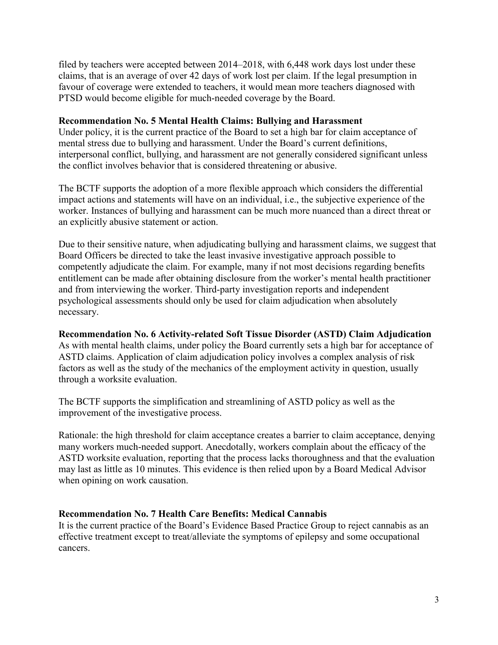filed by teachers were accepted between 2014–2018, with 6,448 work days lost under these claims, that is an average of over 42 days of work lost per claim. If the legal presumption in favour of coverage were extended to teachers, it would mean more teachers diagnosed with PTSD would become eligible for much-needed coverage by the Board.

### **Recommendation No. 5 Mental Health Claims: Bullying and Harassment**

Under policy, it is the current practice of the Board to set a high bar for claim acceptance of mental stress due to bullying and harassment. Under the Board's current definitions, interpersonal conflict, bullying, and harassment are not generally considered significant unless the conflict involves behavior that is considered threatening or abusive.

The BCTF supports the adoption of a more flexible approach which considers the differential impact actions and statements will have on an individual, i.e., the subjective experience of the worker. Instances of bullying and harassment can be much more nuanced than a direct threat or an explicitly abusive statement or action.

Due to their sensitive nature, when adjudicating bullying and harassment claims, we suggest that Board Officers be directed to take the least invasive investigative approach possible to competently adjudicate the claim. For example, many if not most decisions regarding benefits entitlement can be made after obtaining disclosure from the worker's mental health practitioner and from interviewing the worker. Third-party investigation reports and independent psychological assessments should only be used for claim adjudication when absolutely necessary.

### **Recommendation No. 6 Activity-related Soft Tissue Disorder (ASTD) Claim Adjudication**

As with mental health claims, under policy the Board currently sets a high bar for acceptance of ASTD claims. Application of claim adjudication policy involves a complex analysis of risk factors as well as the study of the mechanics of the employment activity in question, usually through a worksite evaluation.

The BCTF supports the simplification and streamlining of ASTD policy as well as the improvement of the investigative process.

Rationale: the high threshold for claim acceptance creates a barrier to claim acceptance, denying many workers much-needed support. Anecdotally, workers complain about the efficacy of the ASTD worksite evaluation, reporting that the process lacks thoroughness and that the evaluation may last as little as 10 minutes. This evidence is then relied upon by a Board Medical Advisor when opining on work causation.

### **Recommendation No. 7 Health Care Benefits: Medical Cannabis**

It is the current practice of the Board's Evidence Based Practice Group to reject cannabis as an effective treatment except to treat/alleviate the symptoms of epilepsy and some occupational cancers.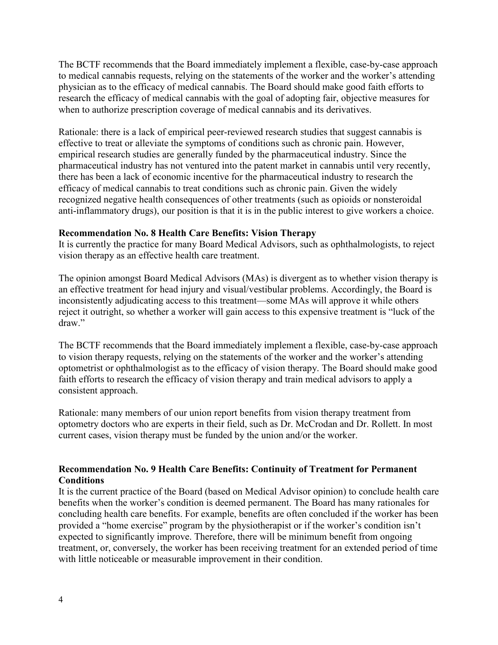The BCTF recommends that the Board immediately implement a flexible, case-by-case approach to medical cannabis requests, relying on the statements of the worker and the worker's attending physician as to the efficacy of medical cannabis. The Board should make good faith efforts to research the efficacy of medical cannabis with the goal of adopting fair, objective measures for when to authorize prescription coverage of medical cannabis and its derivatives.

Rationale: there is a lack of empirical peer-reviewed research studies that suggest cannabis is effective to treat or alleviate the symptoms of conditions such as chronic pain. However, empirical research studies are generally funded by the pharmaceutical industry. Since the pharmaceutical industry has not ventured into the patent market in cannabis until very recently, there has been a lack of economic incentive for the pharmaceutical industry to research the efficacy of medical cannabis to treat conditions such as chronic pain. Given the widely recognized negative health consequences of other treatments (such as opioids or nonsteroidal anti-inflammatory drugs), our position is that it is in the public interest to give workers a choice.

#### **Recommendation No. 8 Health Care Benefits: Vision Therapy**

It is currently the practice for many Board Medical Advisors, such as ophthalmologists, to reject vision therapy as an effective health care treatment.

The opinion amongst Board Medical Advisors (MAs) is divergent as to whether vision therapy is an effective treatment for head injury and visual/vestibular problems. Accordingly, the Board is inconsistently adjudicating access to this treatment—some MAs will approve it while others reject it outright, so whether a worker will gain access to this expensive treatment is "luck of the draw."

The BCTF recommends that the Board immediately implement a flexible, case-by-case approach to vision therapy requests, relying on the statements of the worker and the worker's attending optometrist or ophthalmologist as to the efficacy of vision therapy. The Board should make good faith efforts to research the efficacy of vision therapy and train medical advisors to apply a consistent approach.

Rationale: many members of our union report benefits from vision therapy treatment from optometry doctors who are experts in their field, such as Dr. McCrodan and Dr. Rollett. In most current cases, vision therapy must be funded by the union and/or the worker.

### **Recommendation No. 9 Health Care Benefits: Continuity of Treatment for Permanent Conditions**

It is the current practice of the Board (based on Medical Advisor opinion) to conclude health care benefits when the worker's condition is deemed permanent. The Board has many rationales for concluding health care benefits. For example, benefits are often concluded if the worker has been provided a "home exercise" program by the physiotherapist or if the worker's condition isn't expected to significantly improve. Therefore, there will be minimum benefit from ongoing treatment, or, conversely, the worker has been receiving treatment for an extended period of time with little noticeable or measurable improvement in their condition.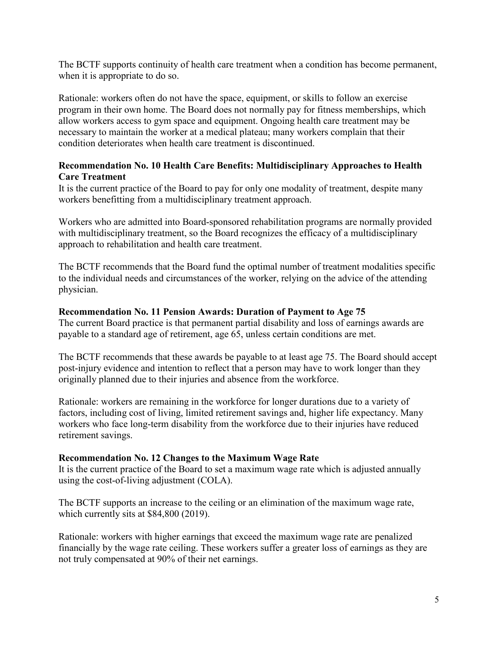The BCTF supports continuity of health care treatment when a condition has become permanent, when it is appropriate to do so.

Rationale: workers often do not have the space, equipment, or skills to follow an exercise program in their own home. The Board does not normally pay for fitness memberships, which allow workers access to gym space and equipment. Ongoing health care treatment may be necessary to maintain the worker at a medical plateau; many workers complain that their condition deteriorates when health care treatment is discontinued.

# **Recommendation No. 10 Health Care Benefits: Multidisciplinary Approaches to Health Care Treatment**

It is the current practice of the Board to pay for only one modality of treatment, despite many workers benefitting from a multidisciplinary treatment approach.

Workers who are admitted into Board-sponsored rehabilitation programs are normally provided with multidisciplinary treatment, so the Board recognizes the efficacy of a multidisciplinary approach to rehabilitation and health care treatment.

The BCTF recommends that the Board fund the optimal number of treatment modalities specific to the individual needs and circumstances of the worker, relying on the advice of the attending physician.

# **Recommendation No. 11 Pension Awards: Duration of Payment to Age 75**

The current Board practice is that permanent partial disability and loss of earnings awards are payable to a standard age of retirement, age 65, unless certain conditions are met.

The BCTF recommends that these awards be payable to at least age 75. The Board should accept post-injury evidence and intention to reflect that a person may have to work longer than they originally planned due to their injuries and absence from the workforce.

Rationale: workers are remaining in the workforce for longer durations due to a variety of factors, including cost of living, limited retirement savings and, higher life expectancy. Many workers who face long-term disability from the workforce due to their injuries have reduced retirement savings.

### **Recommendation No. 12 Changes to the Maximum Wage Rate**

It is the current practice of the Board to set a maximum wage rate which is adjusted annually using the cost-of-living adjustment (COLA).

The BCTF supports an increase to the ceiling or an elimination of the maximum wage rate, which currently sits at \$84,800 (2019).

Rationale: workers with higher earnings that exceed the maximum wage rate are penalized financially by the wage rate ceiling. These workers suffer a greater loss of earnings as they are not truly compensated at 90% of their net earnings.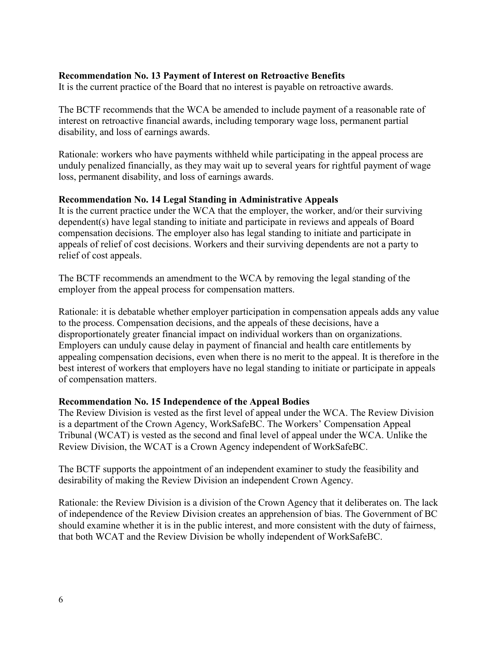## **Recommendation No. 13 Payment of Interest on Retroactive Benefits**

It is the current practice of the Board that no interest is payable on retroactive awards.

The BCTF recommends that the WCA be amended to include payment of a reasonable rate of interest on retroactive financial awards, including temporary wage loss, permanent partial disability, and loss of earnings awards.

Rationale: workers who have payments withheld while participating in the appeal process are unduly penalized financially, as they may wait up to several years for rightful payment of wage loss, permanent disability, and loss of earnings awards.

#### **Recommendation No. 14 Legal Standing in Administrative Appeals**

It is the current practice under the WCA that the employer, the worker, and/or their surviving dependent(s) have legal standing to initiate and participate in reviews and appeals of Board compensation decisions. The employer also has legal standing to initiate and participate in appeals of relief of cost decisions. Workers and their surviving dependents are not a party to relief of cost appeals.

The BCTF recommends an amendment to the WCA by removing the legal standing of the employer from the appeal process for compensation matters.

Rationale: it is debatable whether employer participation in compensation appeals adds any value to the process. Compensation decisions, and the appeals of these decisions, have a disproportionately greater financial impact on individual workers than on organizations. Employers can unduly cause delay in payment of financial and health care entitlements by appealing compensation decisions, even when there is no merit to the appeal. It is therefore in the best interest of workers that employers have no legal standing to initiate or participate in appeals of compensation matters.

### **Recommendation No. 15 Independence of the Appeal Bodies**

The Review Division is vested as the first level of appeal under the WCA. The Review Division is a department of the Crown Agency, WorkSafeBC. The Workers' Compensation Appeal Tribunal (WCAT) is vested as the second and final level of appeal under the WCA. Unlike the Review Division, the WCAT is a Crown Agency independent of WorkSafeBC.

The BCTF supports the appointment of an independent examiner to study the feasibility and desirability of making the Review Division an independent Crown Agency.

Rationale: the Review Division is a division of the Crown Agency that it deliberates on. The lack of independence of the Review Division creates an apprehension of bias. The Government of BC should examine whether it is in the public interest, and more consistent with the duty of fairness, that both WCAT and the Review Division be wholly independent of WorkSafeBC.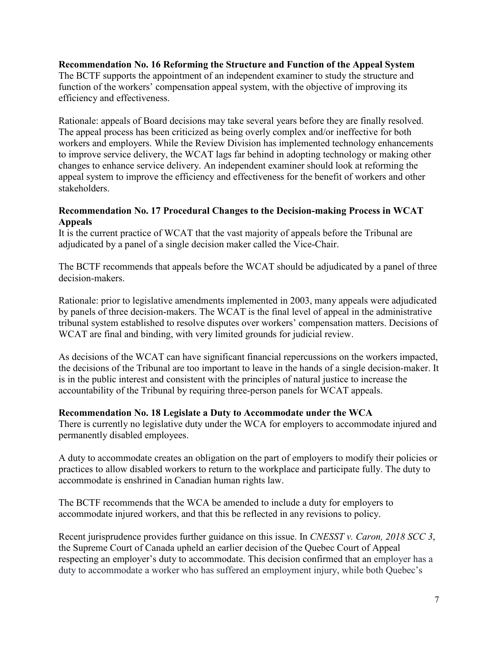### **Recommendation No. 16 Reforming the Structure and Function of the Appeal System**

The BCTF supports the appointment of an independent examiner to study the structure and function of the workers' compensation appeal system, with the objective of improving its efficiency and effectiveness.

Rationale: appeals of Board decisions may take several years before they are finally resolved. The appeal process has been criticized as being overly complex and/or ineffective for both workers and employers. While the Review Division has implemented technology enhancements to improve service delivery, the WCAT lags far behind in adopting technology or making other changes to enhance service delivery. An independent examiner should look at reforming the appeal system to improve the efficiency and effectiveness for the benefit of workers and other stakeholders.

## **Recommendation No. 17 Procedural Changes to the Decision-making Process in WCAT Appeals**

It is the current practice of WCAT that the vast majority of appeals before the Tribunal are adjudicated by a panel of a single decision maker called the Vice-Chair.

The BCTF recommends that appeals before the WCAT should be adjudicated by a panel of three decision-makers.

Rationale: prior to legislative amendments implemented in 2003, many appeals were adjudicated by panels of three decision-makers. The WCAT is the final level of appeal in the administrative tribunal system established to resolve disputes over workers' compensation matters. Decisions of WCAT are final and binding, with very limited grounds for judicial review.

As decisions of the WCAT can have significant financial repercussions on the workers impacted, the decisions of the Tribunal are too important to leave in the hands of a single decision-maker. It is in the public interest and consistent with the principles of natural justice to increase the accountability of the Tribunal by requiring three-person panels for WCAT appeals.

### **Recommendation No. 18 Legislate a Duty to Accommodate under the WCA**

There is currently no legislative duty under the WCA for employers to accommodate injured and permanently disabled employees.

A duty to accommodate creates an obligation on the part of employers to modify their policies or practices to allow disabled workers to return to the workplace and participate fully. The duty to accommodate is enshrined in Canadian human rights law.

The BCTF recommends that the WCA be amended to include a duty for employers to accommodate injured workers, and that this be reflected in any revisions to policy.

Recent jurisprudence provides further guidance on this issue. In *CNESST v. Caron, 2018 SCC 3*, the Supreme Court of Canada upheld an earlier decision of the Quebec Court of Appeal respecting an employer's duty to accommodate. This decision confirmed that an employer has a duty to accommodate a worker who has suffered an employment injury, while both Quebec's